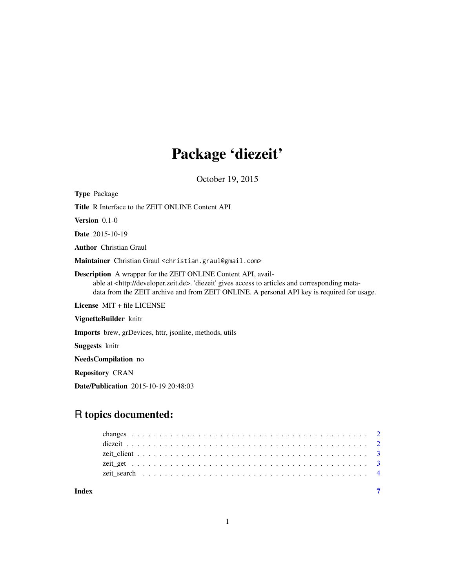# Package 'diezeit'

October 19, 2015

| <b>Type Package</b>                                                                                                                                                                                                                                                             |
|---------------------------------------------------------------------------------------------------------------------------------------------------------------------------------------------------------------------------------------------------------------------------------|
| <b>Title R Interface to the ZEIT ONLINE Content API</b>                                                                                                                                                                                                                         |
| <b>Version</b> $0.1-0$                                                                                                                                                                                                                                                          |
| <b>Date</b> 2015-10-19                                                                                                                                                                                                                                                          |
| <b>Author</b> Christian Graul                                                                                                                                                                                                                                                   |
| Maintainer Christian Graul <christian.graul@gmail.com></christian.graul@gmail.com>                                                                                                                                                                                              |
| <b>Description</b> A wrapper for the ZEIT ONLINE Content API, avail-<br>able at <http: developer.zeit.de="">. 'diezeit' gives access to articles and corresponding meta-<br/>data from the ZEIT archive and from ZEIT ONLINE. A personal API key is required for usage.</http:> |
| License $MIT + file LICENSE$                                                                                                                                                                                                                                                    |
| VignetteBuilder knitr                                                                                                                                                                                                                                                           |
| <b>Imports</b> brew, grDevices, httr, ison ite, methods, utils                                                                                                                                                                                                                  |
| <b>Suggests</b> knitr                                                                                                                                                                                                                                                           |
| <b>NeedsCompilation</b> no                                                                                                                                                                                                                                                      |
| <b>Repository CRAN</b>                                                                                                                                                                                                                                                          |

Date/Publication 2015-10-19 20:48:03

# R topics documented:

| Index |  |  |  |  |  |  |  |  |  |  |  |  |  |  |  |  |  |  |  |  |  |  |
|-------|--|--|--|--|--|--|--|--|--|--|--|--|--|--|--|--|--|--|--|--|--|--|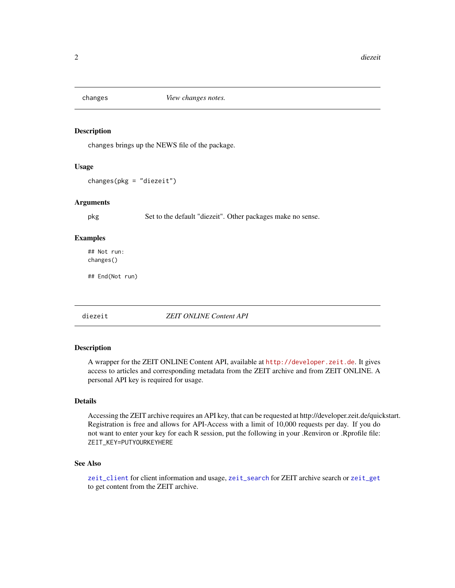<span id="page-1-0"></span>

# Description

changes brings up the NEWS file of the package.

#### Usage

```
changes(pkg = "diezeit")
```
#### Arguments

pkg Set to the default "diezeit". Other packages make no sense.

#### Examples

## Not run: changes()

## End(Not run)

diezeit *ZEIT ONLINE Content API*

# Description

A wrapper for the ZEIT ONLINE Content API, available at <http://developer.zeit.de>. It gives access to articles and corresponding metadata from the ZEIT archive and from ZEIT ONLINE. A personal API key is required for usage.

#### Details

Accessing the ZEIT archive requires an API key, that can be requested at http://developer.zeit.de/quickstart. Registration is free and allows for API-Access with a limit of 10,000 requests per day. If you do not want to enter your key for each R session, put the following in your .Renviron or .Rprofile file: ZEIT\_KEY=PUTYOURKEYHERE

#### See Also

[zeit\\_client](#page-2-1) for client information and usage, [zeit\\_search](#page-3-1) for ZEIT archive search or [zeit\\_get](#page-2-2) to get content from the ZEIT archive.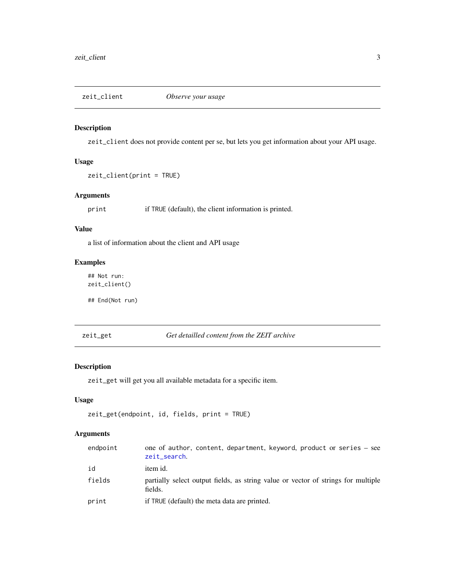<span id="page-2-1"></span><span id="page-2-0"></span>

# Description

zeit\_client does not provide content per se, but lets you get information about your API usage.

# Usage

```
zeit_client(print = TRUE)
```
# Arguments

print if TRUE (default), the client information is printed.

# Value

a list of information about the client and API usage

# Examples

## Not run: zeit\_client()

## End(Not run)

<span id="page-2-2"></span>zeit\_get *Get detailled content from the ZEIT archive*

# Description

zeit\_get will get you all available metadata for a specific item.

# Usage

```
zeit_get(endpoint, id, fields, print = TRUE)
```
# Arguments

| endpoint | one of author, content, department, keyword, product or series – see<br>zeit_search.         |
|----------|----------------------------------------------------------------------------------------------|
| id       | item id.                                                                                     |
| fields   | partially select output fields, as string value or vector of strings for multiple<br>fields. |
| print    | if TRUE (default) the meta data are printed.                                                 |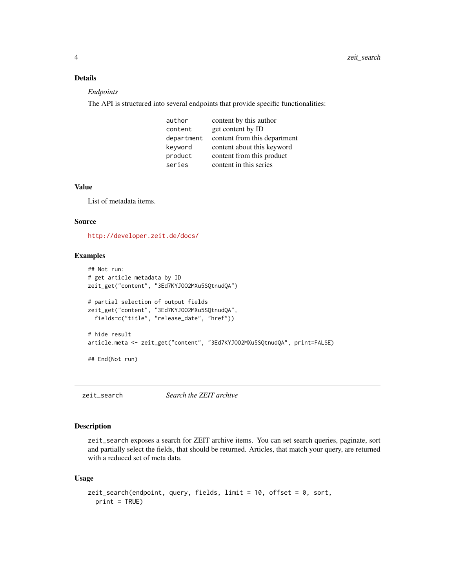# <span id="page-3-0"></span>Details

#### *Endpoints*

The API is structured into several endpoints that provide specific functionalities:

| author     | content by this author       |
|------------|------------------------------|
| content    | get content by ID            |
| department | content from this department |
| keyword    | content about this keyword   |
| product    | content from this product    |
| series     | content in this series       |

#### Value

List of metadata items.

#### Source

<http://developer.zeit.de/docs/>

# Examples

```
## Not run:
# get article metadata by ID
zeit_get("content", "3Ed7KYJOO2MXu5SQtnudQA")
# partial selection of output fields
zeit_get("content", "3Ed7KYJOO2MXu5SQtnudQA",
  fields=c("title", "release_date", "href"))
# hide result
article.meta <- zeit_get("content", "3Ed7KYJOO2MXu5SQtnudQA", print=FALSE)
## End(Not run)
```
<span id="page-3-1"></span>zeit\_search *Search the ZEIT archive*

#### Description

zeit\_search exposes a search for ZEIT archive items. You can set search queries, paginate, sort and partially select the fields, that should be returned. Articles, that match your query, are returned with a reduced set of meta data.

# Usage

```
zeit_search(endpoint, query, fields, limit = 10, offset = 0, sort,
 print = TRUE)
```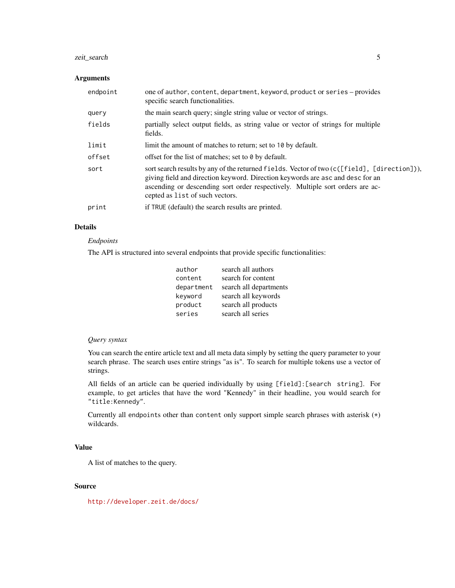# zeit\_search 5

# Arguments

| endpoint | one of author, content, department, keyword, product or series - provides<br>specific search functionalities.                                                                                                                                                                                     |
|----------|---------------------------------------------------------------------------------------------------------------------------------------------------------------------------------------------------------------------------------------------------------------------------------------------------|
| query    | the main search query; single string value or vector of strings.                                                                                                                                                                                                                                  |
| fields   | partially select output fields, as string value or vector of strings for multiple<br>fields.                                                                                                                                                                                                      |
| limit    | limit the amount of matches to return; set to 10 by default.                                                                                                                                                                                                                                      |
| offset   | offset for the list of matches; set to 0 by default.                                                                                                                                                                                                                                              |
| sort     | sort search results by any of the returned fields. Vector of two (c([field], [direction])),<br>giving field and direction keyword. Direction keywords are asc and desc for an<br>ascending or descending sort order respectively. Multiple sort orders are ac-<br>cepted as list of such vectors. |
| print    | if TRUE (default) the search results are printed.                                                                                                                                                                                                                                                 |

# Details

# *Endpoints*

The API is structured into several endpoints that provide specific functionalities:

| author     | search all authors     |
|------------|------------------------|
| content    | search for content     |
| department | search all departments |
| keyword    | search all keywords    |
| product    | search all products    |
| series     | search all series      |
|            |                        |

# *Query syntax*

You can search the entire article text and all meta data simply by setting the query parameter to your search phrase. The search uses entire strings "as is". To search for multiple tokens use a vector of strings.

All fields of an article can be queried individually by using [field]:[search string]. For example, to get articles that have the word "Kennedy" in their headline, you would search for "title:Kennedy".

Currently all endpoints other than content only support simple search phrases with asterisk (\*) wildcards.

# Value

A list of matches to the query.

# Source

<http://developer.zeit.de/docs/>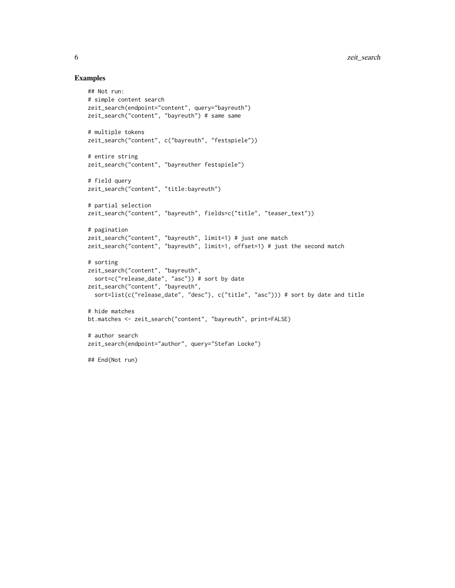#### Examples

```
## Not run:
# simple content search
zeit_search(endpoint="content", query="bayreuth")
zeit_search("content", "bayreuth") # same same
# multiple tokens
zeit_search("content", c("bayreuth", "festspiele"))
# entire string
zeit_search("content", "bayreuther festspiele")
# field query
zeit_search("content", "title:bayreuth")
# partial selection
zeit_search("content", "bayreuth", fields=c("title", "teaser_text"))
# pagination
zeit_search("content", "bayreuth", limit=1) # just one match
zeit_search("content", "bayreuth", limit=1, offset=1) # just the second match
# sorting
zeit_search("content", "bayreuth",
  sort=c("release_date", "asc")) # sort by date
zeit_search("content", "bayreuth",
  sort=list(c("release_date", "desc"), c("title", "asc"))) # sort by date and title
# hide matches
bt.matches <- zeit_search("content", "bayreuth", print=FALSE)
# author search
zeit_search(endpoint="author", query="Stefan Locke")
## End(Not run)
```